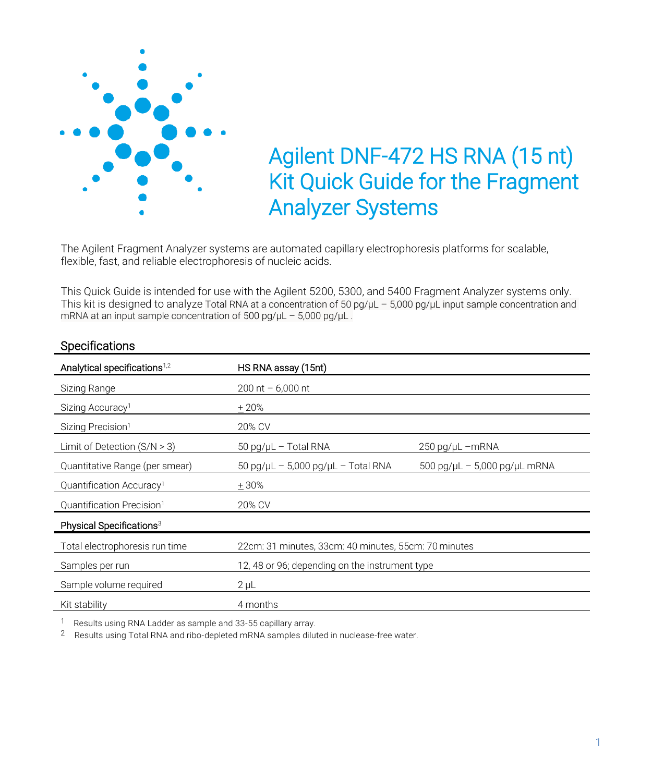

# Agilent DNF-472 HS RNA (15 nt) Kit Quick Guide for the Fragment Analyzer Systems

The Agilent Fragment Analyzer systems are automated capillary electrophoresis platforms for scalable, flexible, fast, and reliable electrophoresis of nucleic acids.

This Quick Guide is intended for use with the Agilent 5200, 5300, and 5400 Fragment Analyzer systems only. This kit is designed to analyze Total RNA at a concentration of 50 pg/μL – 5,000 pg/μL input sample concentration and mRNA at an input sample concentration of 500 pg/μL – 5,000 pg/μL .

| Analytical specifications <sup>1,2</sup> | HS RNA assay (15nt)                                  |                                                              |
|------------------------------------------|------------------------------------------------------|--------------------------------------------------------------|
| Sizing Range                             | 200 nt $-6,000$ nt                                   |                                                              |
| Sizing Accuracy <sup>1</sup>             | $+20%$                                               |                                                              |
| Sizing Precision <sup>1</sup>            | 20% CV                                               |                                                              |
| Limit of Detection $(S/N > 3)$           | 50 pg/µL - Total RNA                                 | $250$ pg/ $\mu$ L -mRNA                                      |
| Quantitative Range (per smear)           | $50$ pg/ $\mu$ L - 5,000 pg/ $\mu$ L - Total RNA     | $500 \text{ pg/}\mu L - 5,000 \text{ pg/}\mu L \text{ mRNA}$ |
| Quantification Accuracy <sup>1</sup>     | $+30%$                                               |                                                              |
| Quantification Precision <sup>1</sup>    | 20% CV                                               |                                                              |
| Physical Specifications <sup>3</sup>     |                                                      |                                                              |
| Total electrophoresis run time           | 22cm: 31 minutes, 33cm: 40 minutes, 55cm: 70 minutes |                                                              |
| Samples per run                          | 12, 48 or 96; depending on the instrument type       |                                                              |
| Sample volume required                   | $2 \mu L$                                            |                                                              |
| Kit stability                            | 4 months                                             |                                                              |

### **Specifications**

<sup>1</sup> Results using RNA Ladder as sample and 33-55 capillary array.

<sup>2</sup> Results using Total RNA and ribo-depleted mRNA samples diluted in nuclease-free water.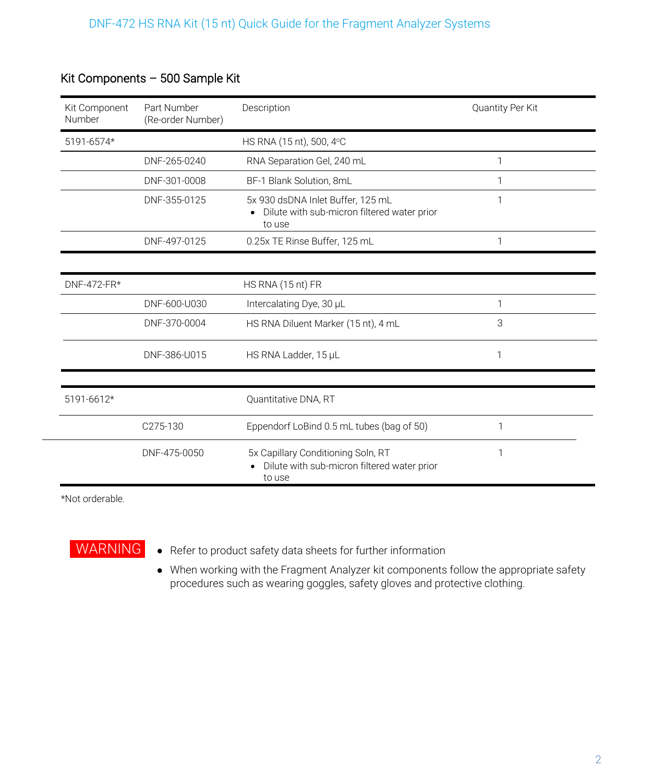| Kit Component<br>Number | Part Number<br>(Re-order Number) | Description                                                                                  | Quantity Per Kit |
|-------------------------|----------------------------------|----------------------------------------------------------------------------------------------|------------------|
| 5191-6574*              |                                  | HS RNA (15 nt), 500, 4°C                                                                     |                  |
|                         | DNF-265-0240                     | RNA Separation Gel, 240 mL                                                                   | 1                |
|                         | DNF-301-0008                     | BF-1 Blank Solution, 8mL                                                                     | 1                |
|                         | DNF-355-0125                     | 5x 930 dsDNA Inlet Buffer, 125 mL<br>• Dilute with sub-micron filtered water prior<br>to use | 1                |
|                         | DNF-497-0125                     | 0.25x TE Rinse Buffer, 125 mL                                                                | 1                |
|                         |                                  |                                                                                              |                  |
| DNF-472-FR*             |                                  | HS RNA (15 nt) FR                                                                            |                  |
|                         | DNF-600-U030                     | Intercalating Dye, 30 µL                                                                     | 1                |
|                         | DNF-370-0004                     | HS RNA Diluent Marker (15 nt), 4 mL                                                          | 3                |
|                         | DNF-386-U015                     | HS RNA Ladder, 15 µL                                                                         | 1                |
| 5191-6612*              |                                  | Quantitative DNA, RT                                                                         |                  |
|                         | C275-130                         | Eppendorf LoBind 0.5 mL tubes (bag of 50)                                                    | 1                |
|                         | DNF-475-0050                     | 5x Capillary Conditioning Soln, RT<br>Dilute with sub-micron filtered water prior<br>to use  | 1                |

## Kit Components – 500 Sample Kit

\*Not orderable.



WARNING • Refer to product safety data sheets for further information

• When working with the Fragment Analyzer kit components follow the appropriate safety procedures such as wearing goggles, safety gloves and protective clothing.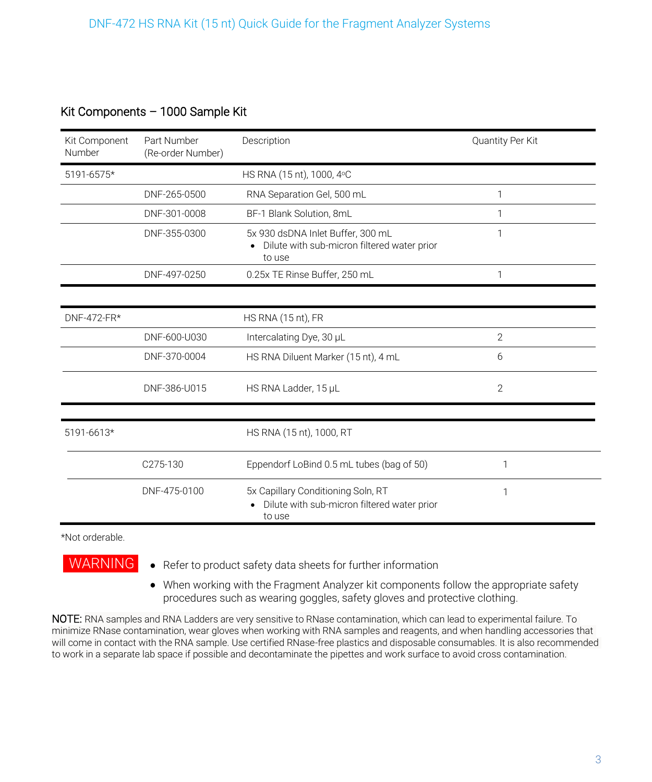### Kit Components – 1000 Sample Kit

| Kit Component<br>Number | Part Number<br>(Re-order Number) | Description                                                                                             | Quantity Per Kit |
|-------------------------|----------------------------------|---------------------------------------------------------------------------------------------------------|------------------|
| 5191-6575*              |                                  | HS RNA (15 nt), 1000, 4°C                                                                               |                  |
|                         | DNF-265-0500                     | RNA Separation Gel, 500 mL                                                                              | 1                |
|                         | DNF-301-0008                     | BF-1 Blank Solution, 8mL                                                                                | 1                |
|                         | DNF-355-0300                     | 5x 930 dsDNA Inlet Buffer, 300 mL<br>Dilute with sub-micron filtered water prior<br>$\bullet$<br>to use | 1                |
|                         | DNF-497-0250                     | 0.25x TE Rinse Buffer, 250 mL                                                                           | 1                |
|                         |                                  |                                                                                                         |                  |
| DNF-472-FR*             |                                  | HS RNA (15 nt), FR                                                                                      |                  |
|                         | DNF-600-U030                     | Intercalating Dye, 30 µL                                                                                | $\mathcal{P}$    |
|                         | DNF-370-0004                     | HS RNA Diluent Marker (15 nt), 4 mL                                                                     | 6                |
|                         | DNF-386-U015                     | HS RNA Ladder, 15 µL                                                                                    | $\overline{2}$   |
| 5191-6613*              |                                  | HS RNA (15 nt), 1000, RT                                                                                |                  |
|                         | C275-130                         | Eppendorf LoBind 0.5 mL tubes (bag of 50)                                                               | 1                |
|                         | DNF-475-0100                     | 5x Capillary Conditioning Soln, RT<br>Dilute with sub-micron filtered water prior<br>to use             | 1                |

\*Not orderable.

WARNING • Refer to product safety data sheets for further information

• When working with the Fragment Analyzer kit components follow the appropriate safety procedures such as wearing goggles, safety gloves and protective clothing.

NOTE: RNA samples and RNA Ladders are very sensitive to RNase contamination, which can lead to experimental failure. To minimize RNase contamination, wear gloves when working with RNA samples and reagents, and when handling accessories that will come in contact with the RNA sample. Use certified RNase-free plastics and disposable consumables. It is also recommended to work in a separate lab space if possible and decontaminate the pipettes and work surface to avoid cross contamination.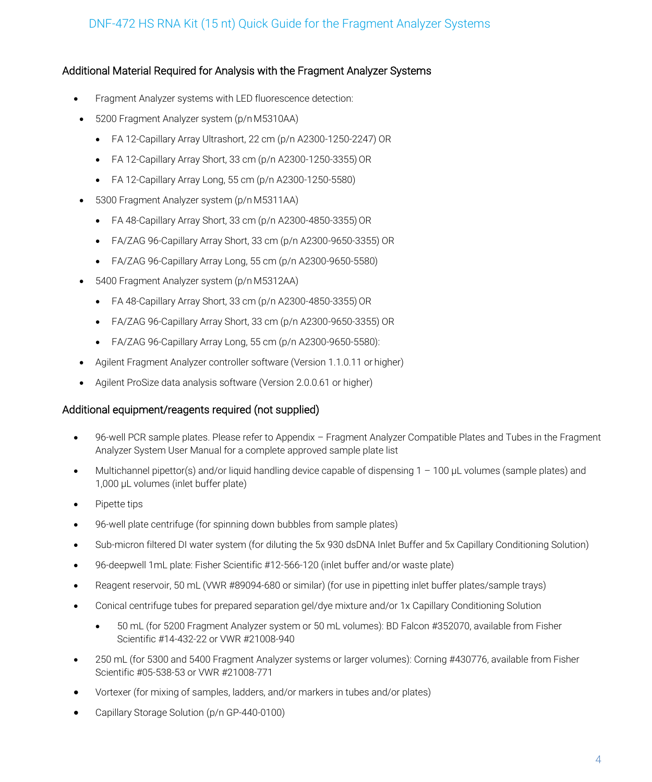### Additional Material Required for Analysis with the Fragment Analyzer Systems

- Fragment Analyzer systems with LED fluorescence detection:
- 5200 Fragment Analyzer system (p/n M5310AA)
	- FA 12-Capillary Array Ultrashort, 22 cm (p/n A2300-1250-2247) OR
	- $\bullet$  FA 12-Capillary Array Short, 33 cm (p/n A2300-1250-3355) OR
	- FA 12-Capillary Array Long, 55 cm (p/n A2300-1250-5580)
- 5300 Fragment Analyzer system (p/n M5311AA)
	- $\bullet$  FA 48-Capillary Array Short, 33 cm (p/n A2300-4850-3355) OR
	- FA/ZAG 96-Capillary Array Short, 33 cm (p/n A2300-9650-3355) OR
	- FA/ZAG 96-Capillary Array Long, 55 cm (p/n A2300-9650-5580)
- 5400 Fragment Analyzer system (p/n M5312AA)
	- $\bullet$  FA 48-Capillary Array Short, 33 cm (p/n A2300-4850-3355) OR
	- FA/ZAG 96-Capillary Array Short, 33 cm (p/n A2300-9650-3355) OR
	- FA/ZAG 96-Capillary Array Long, 55 cm (p/n A2300-9650-5580):
- Agilent Fragment Analyzer controller software (Version 1.1.0.11 or higher)
- Agilent ProSize data analysis software (Version 2.0.0.61 or higher)

#### Additional equipment/reagents required (not supplied)

- 96-well PCR sample plates. Please refer to Appendix Fragment Analyzer Compatible Plates and Tubes in the Fragment Analyzer System User Manual for a complete approved sample plate list
- Multichannel pipettor(s) and/or liquid handling device capable of dispensing 1 100 µL volumes (sample plates) and 1,000 µL volumes (inlet buffer plate)
- Pipette tips
- 96-well plate centrifuge (for spinning down bubbles from sample plates)
- Sub-micron filtered DI water system (for diluting the 5x 930 dsDNA Inlet Buffer and 5x Capillary Conditioning Solution)
- 96-deepwell 1mL plate: Fisher Scientific #12-566-120 (inlet buffer and/or waste plate)
- Reagent reservoir, 50 mL (VWR #89094-680 or similar) (for use in pipetting inlet buffer plates/sample trays)
- Conical centrifuge tubes for prepared separation gel/dye mixture and/or 1x Capillary Conditioning Solution
	- 50 mL (for 5200 Fragment Analyzer system or 50 mL volumes): BD Falcon #352070, available from Fisher Scientific #14-432-22 or VWR #21008-940
- 250 mL (for 5300 and 5400 Fragment Analyzer systems or larger volumes): Corning #430776, available from Fisher Scientific #05-538-53 or VWR #21008-771
- Vortexer (for mixing of samples, ladders, and/or markers in tubes and/or plates)
- Capillary Storage Solution (p/n GP-440-0100)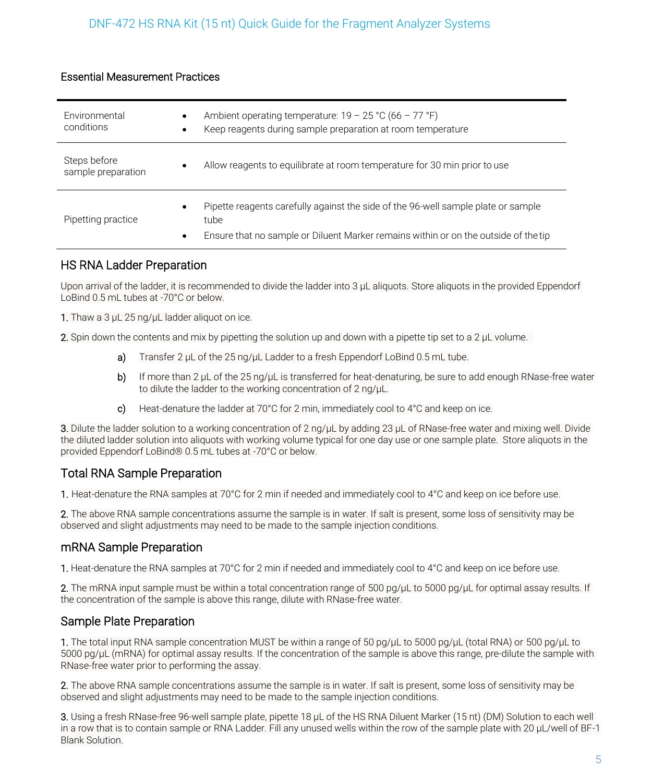### Essential Measurement Practices

| Environmental<br>conditions        | ٠              | Ambient operating temperature: $19 - 25 \degree C$ (66 – 77 °F)<br>Keep reagents during sample preparation at room temperature                                                   |
|------------------------------------|----------------|----------------------------------------------------------------------------------------------------------------------------------------------------------------------------------|
| Steps before<br>sample preparation | $\bullet$      | Allow reagents to equilibrate at room temperature for 30 min prior to use                                                                                                        |
| Pipetting practice                 | ٠<br>$\bullet$ | Pipette reagents carefully against the side of the 96-well sample plate or sample<br>tube<br>Ensure that no sample or Diluent Marker remains within or on the outside of the tip |

### HS RNA Ladder Preparation

Upon arrival of the ladder, it is recommended to divide the ladder into 3 μL aliquots. Store aliquots in the provided Eppendorf LoBind 0.5 mL tubes at -70°C or below.

1. Thaw a 3 μL 25 ng/μL ladder aliquot on ice.

2. Spin down the contents and mix by pipetting the solution up and down with a pipette tip set to a 2 μL volume.

- a) Transfer 2 μL of the 25 ng/μL Ladder to a fresh Eppendorf LoBind 0.5 mL tube.
- b) If more than 2 μL of the 25 ng/μL is transferred for heat-denaturing, be sure to add enough RNase-free water to dilute the ladder to the working concentration of 2 ng/μL.
- c) Heat-denature the ladder at 70°C for 2 min, immediately cool to 4°C and keep on ice.

3. Dilute the ladder solution to a working concentration of 2 ng/μL by adding 23 μL of RNase-free water and mixing well. Divide the diluted ladder solution into aliquots with working volume typical for one day use or one sample plate. Store aliquots in the provided Eppendorf LoBind® 0.5 mL tubes at -70°C or below.

### Total RNA Sample Preparation

1. Heat-denature the RNA samples at 70°C for 2 min if needed and immediately cool to 4°C and keep on ice before use.

2. The above RNA sample concentrations assume the sample is in water. If salt is present, some loss of sensitivity may be observed and slight adjustments may need to be made to the sample injection conditions.

### mRNA Sample Preparation

1. Heat-denature the RNA samples at 70°C for 2 min if needed and immediately cool to 4°C and keep on ice before use.

2. The mRNA input sample must be within a total concentration range of 500 pg/μL to 5000 pg/μL for optimal assay results. If the concentration of the sample is above this range, dilute with RNase-free water.

### Sample Plate Preparation

1. The total input RNA sample concentration MUST be within a range of 50 pg/μL to 5000 pg/μL (total RNA) or 500 pg/μL to 5000 pg/μL (mRNA) for optimal assay results. If the concentration of the sample is above this range, pre-dilute the sample with RNase-free water prior to performing the assay.

2. The above RNA sample concentrations assume the sample is in water. If salt is present, some loss of sensitivity may be observed and slight adjustments may need to be made to the sample injection conditions.

3. Using a fresh RNase-free 96-well sample plate, pipette 18 μL of the HS RNA Diluent Marker (15 nt) (DM) Solution to each well in a row that is to contain sample or RNA Ladder. Fill any unused wells within the row of the sample plate with 20 μL/well of BF-1 Blank Solution.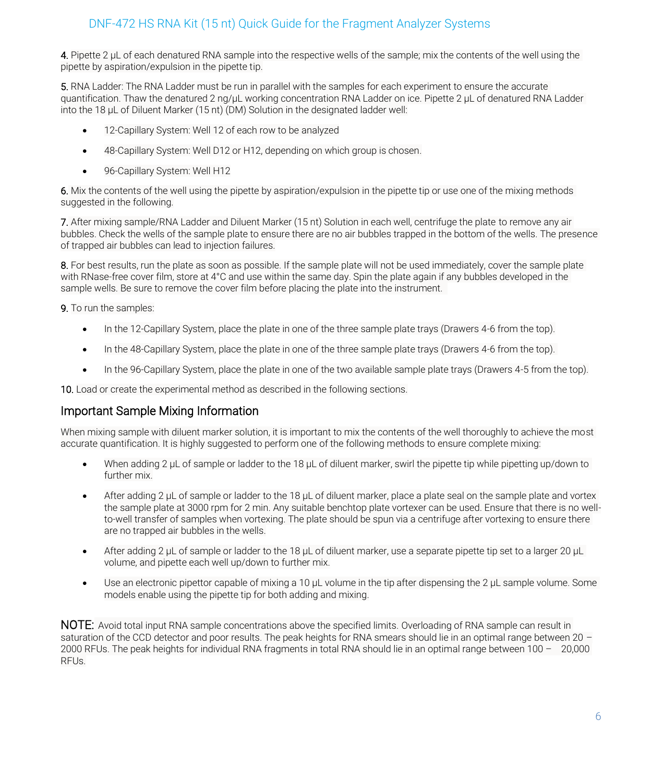4. Pipette 2  $\mu$ L of each denatured RNA sample into the respective wells of the sample; mix the contents of the well using the pipette by aspiration/expulsion in the pipette tip.

5. RNA Ladder: The RNA Ladder must be run in parallel with the samples for each experiment to ensure the accurate quantification. Thaw the denatured 2 ng/μL working concentration RNA Ladder on ice. Pipette 2 μL of denatured RNA Ladder into the 18 μL of Diluent Marker (15 nt) (DM) Solution in the designated ladder well:

- 12-Capillary System: Well 12 of each row to be analyzed
- 48-Capillary System: Well D12 or H12, depending on which group is chosen.
- 96-Capillary System: Well H12

6. Mix the contents of the well using the pipette by aspiration/expulsion in the pipette tip or use one of the mixing methods suggested in the following.

7. After mixing sample/RNA Ladder and Diluent Marker (15 nt) Solution in each well, centrifuge the plate to remove any air bubbles. Check the wells of the sample plate to ensure there are no air bubbles trapped in the bottom of the wells. The presence of trapped air bubbles can lead to injection failures.

8. For best results, run the plate as soon as possible. If the sample plate will not be used immediately, cover the sample plate with RNase-free cover film, store at 4°C and use within the same day. Spin the plate again if any bubbles developed in the sample wells. Be sure to remove the cover film before placing the plate into the instrument.

9. To run the samples:

- In the 12-Capillary System, place the plate in one of the three sample plate trays (Drawers 4-6 from the top).
- In the 48-Capillary System, place the plate in one of the three sample plate trays (Drawers 4-6 from the top).
- In the 96-Capillary System, place the plate in one of the two available sample plate trays (Drawers 4-5 from the top).

10. Load or create the experimental method as described in the following sections.

### Important Sample Mixing Information

When mixing sample with diluent marker solution, it is important to mix the contents of the well thoroughly to achieve the most accurate quantification. It is highly suggested to perform one of the following methods to ensure complete mixing:

- When adding 2 μL of sample or ladder to the 18 μL of diluent marker, swirl the pipette tip while pipetting up/down to further mix.
- After adding 2 μL of sample or ladder to the 18 μL of diluent marker, place a plate seal on the sample plate and vortex the sample plate at 3000 rpm for 2 min. Any suitable benchtop plate vortexer can be used. Ensure that there is no wellto-well transfer of samples when vortexing. The plate should be spun via a centrifuge after vortexing to ensure there are no trapped air bubbles in the wells.
- After adding 2 μL of sample or ladder to the 18 μL of diluent marker, use a separate pipette tip set to a larger 20 μL volume, and pipette each well up/down to further mix.
- Use an electronic pipettor capable of mixing a 10 μL volume in the tip after dispensing the 2 μL sample volume. Some models enable using the pipette tip for both adding and mixing.

NOTE: Avoid total input RNA sample concentrations above the specified limits. Overloading of RNA sample can result in saturation of the CCD detector and poor results. The peak heights for RNA smears should lie in an optimal range between 20 -2000 RFUs. The peak heights for individual RNA fragments in total RNA should lie in an optimal range between 100 – 20,000 RFUs.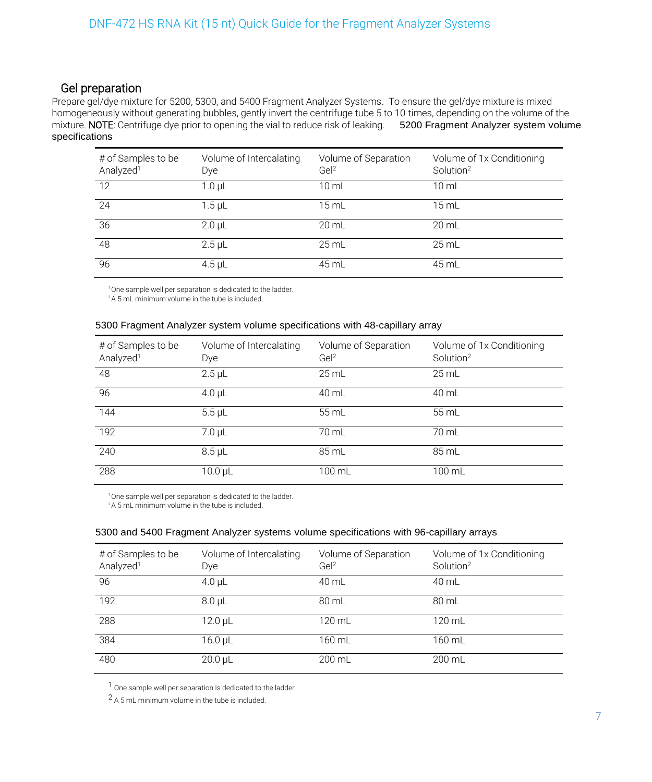### Gel preparation

Prepare gel/dye mixture for 5200, 5300, and 5400 Fragment Analyzer Systems. To ensure the gel/dye mixture is mixed homogeneously without generating bubbles, gently invert the centrifuge tube 5 to 10 times, depending on the volume of the mixture. NOTE: Centrifuge dye prior to opening the vial to reduce risk of leaking. 5200 Fragment Analyzer system volume specifications

| # of Samples to be<br>Analyzed <sup>1</sup> | Volume of Intercalating<br>Dye | Volume of Separation<br>Ge <sup>2</sup> | Volume of 1x Conditioning<br>Solution <sup>2</sup> |
|---------------------------------------------|--------------------------------|-----------------------------------------|----------------------------------------------------|
| 12                                          | 1.0 <sub>µ</sub>               | $10 \mathrm{m}$ L                       | 10 mL                                              |
| 24                                          | $1.5$ µL                       | $15 \text{ mL}$                         | $15 \text{ mL}$                                    |
| 36                                          | $2.0$ $\mu$                    | $20$ mL                                 | $20 \mathrm{m}$ L                                  |
| 48                                          | $2.5$ µL                       | $25$ mL                                 | $25$ mL                                            |
| 96                                          | $4.5$ µL                       | 45 mL                                   | 45 mL                                              |

<sup>1</sup>One sample well per separation is dedicated to the ladder.

<sup>2</sup>A 5 mL minimum volume in the tube is included.

#### 5300 Fragment Analyzer system volume specifications with 48-capillary array

| # of Samples to be<br>Analyzed <sup>1</sup> | Volume of Intercalating<br>Dye | Volume of Separation<br>Ge <sup>2</sup> | Volume of 1x Conditioning<br>Solution <sup>2</sup> |
|---------------------------------------------|--------------------------------|-----------------------------------------|----------------------------------------------------|
| 48                                          | $2.5$ µL                       | $25$ mL                                 | $25 \text{ mL}$                                    |
| 96                                          | $4.0 \mu L$                    | 40 mL                                   | 40 mL                                              |
| 144                                         | $5.5$ $\mu$                    | 55 mL                                   | 55 mL                                              |
| 192                                         | $7.0 \mu L$                    | 70 mL                                   | 70 mL                                              |
| 240                                         | $8.5$ µL                       | 85 mL                                   | 85 mL                                              |
| 288                                         | $10.0 \mu L$                   | 100 mL                                  | 100 mL                                             |

<sup>1</sup>One sample well per separation is dedicated to the ladder.

<sup>2</sup>A 5 mL minimum volume in the tube is included.

#### 5300 and 5400 Fragment Analyzer systems volume specifications with 96-capillary arrays

| # of Samples to be<br>Analyzed <sup>1</sup> | Volume of Intercalating<br>Dye | Volume of Separation<br>Gel <sup>2</sup> | Volume of 1x Conditioning<br>Solution <sup>2</sup> |
|---------------------------------------------|--------------------------------|------------------------------------------|----------------------------------------------------|
| 96                                          | $4.0$ µL                       | 40 mL                                    | 40 mL                                              |
| 192                                         | $8.0 \mu L$                    | 80 mL                                    | 80 mL                                              |
| 288                                         | $12.0 \mu L$                   | 120 mL                                   | 120 mL                                             |
| 384                                         | $16.0 \mu L$                   | 160 mL                                   | 160 mL                                             |
| 480                                         | $20.0 \mu L$                   | 200 mL                                   | 200 mL                                             |

1 One sample well per separation is dedicated to the ladder.

2 A 5 mL minimum volume in the tube is included.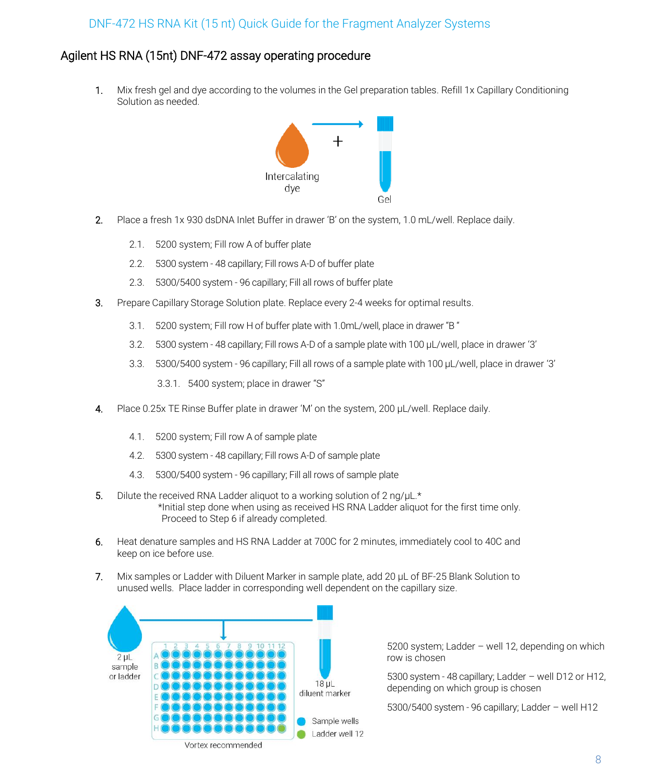### Agilent HS RNA (15nt) DNF-472 assay operating procedure

1. Mix fresh gel and dye according to the volumes in the Gel preparation tables. Refill 1x Capillary Conditioning Solution as needed.



- 2. Place a fresh 1x 930 dsDNA Inlet Buffer in drawer 'B' on the system, 1.0 mL/well. Replace daily.
	- 2.1. 5200 system; Fill row A of buffer plate
	- 2.2. 5300 system 48 capillary; Fill rows A-D of buffer plate
	- 2.3. 5300/5400 system 96 capillary; Fill all rows of buffer plate
- 3. Prepare Capillary Storage Solution plate. Replace every 2-4 weeks for optimal results.
	- 3.1. 5200 system; Fill row H of buffer plate with 1.0mL/well, place in drawer "B "
	- 3.2. 5300 system 48 capillary; Fill rows A-D of a sample plate with 100 µL/well, place in drawer '3'
	- 3.3. 5300/5400 system 96 capillary; Fill all rows of a sample plate with 100 µL/well, place in drawer '3'

3.3.1. 5400 system; place in drawer "S"

- 4. Place 0.25x TE Rinse Buffer plate in drawer 'M' on the system, 200 µL/well. Replace daily.
	- 4.1. 5200 system; Fill row A of sample plate
	- 4.2. 5300 system 48 capillary; Fill rows A-D of sample plate
	- 4.3. 5300/5400 system 96 capillary; Fill all rows of sample plate
- 5. Dilute the received RNA Ladder aliquot to a working solution of 2 ng/ $\mu$ L.\* \*Initial step done when using as received HS RNA Ladder aliquot for the first time only. Proceed to Step 6 if already completed.
- 6. Heat denature samples and HS RNA Ladder at 700C for 2 minutes, immediately cool to 40C and keep on ice before use.
- 7. Mix samples or Ladder with Diluent Marker in sample plate, add 20 µL of BF-25 Blank Solution to unused wells. Place ladder in corresponding well dependent on the capillary size.



5200 system; Ladder – well 12, depending on which row is chosen

5300 system - 48 capillary; Ladder – well D12 or H12, depending on which group is chosen

5300/5400 system - 96 capillary; Ladder – well H12

Vortex recommended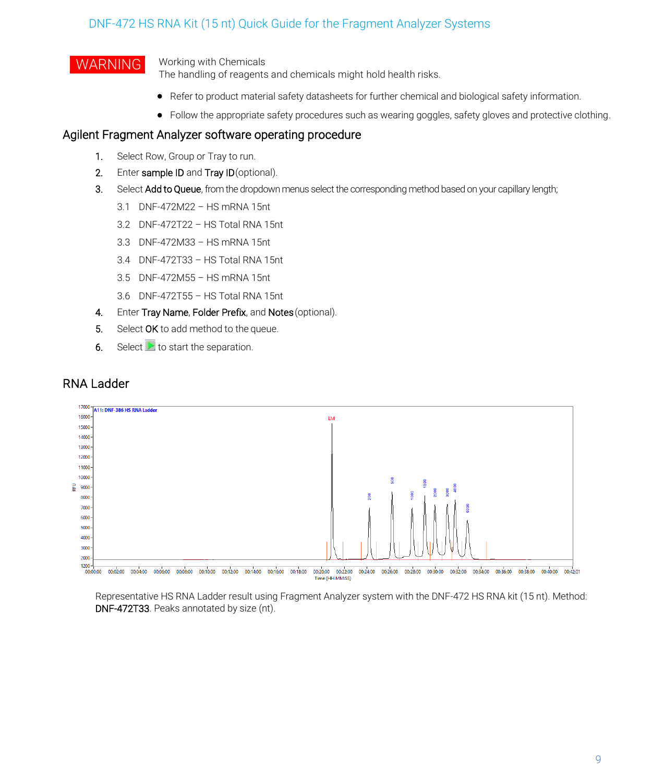WARNING Working with Chemicals

The handling of reagents and chemicals might hold health risks.

- Refer to product material safety datasheets for further chemical and biological safety information.
- Follow the appropriate safety procedures such as wearing goggles, safety gloves and protective clothing.

### Agilent Fragment Analyzer software operating procedure

- 1. Select Row, Group or Tray to run.
- 2. Enter sample ID and Tray ID (optional).
- 3. Select Add to Queue, from the dropdown menus select the corresponding method based on your capillary length;
	- 3.1 DNF-472M22 HS mRNA 15nt
	- 3.2 DNF-472T22 HS Total RNA 15nt
	- 3.3 DNF-472M33 HS mRNA 15nt
	- 3.4 DNF-472T33 HS Total RNA 15nt
	- 3.5 DNF-472M55 HS mRNA 15nt
	- 3.6 DNF-472T55 HS Total RNA 15nt
- 4. Enter Tray Name, Folder Prefix, and Notes (optional).
- 5. Select OK to add method to the queue.
- 6. Select  $\triangleright$  to start the separation.

### RNA Ladder



Representative HS RNA Ladder result using Fragment Analyzer system with the DNF-472 HS RNA kit (15 nt). Method: DNF-472T33. Peaks annotated by size (nt).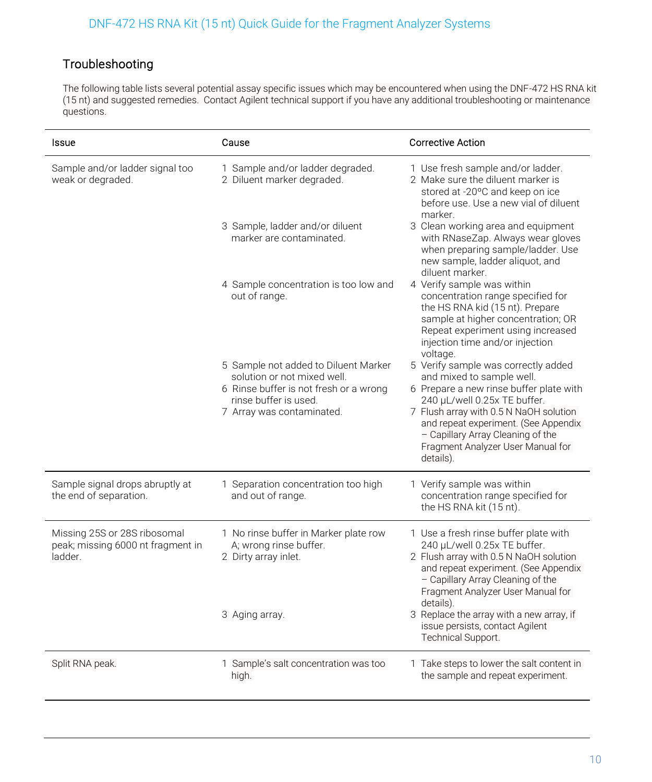### Troubleshooting

The following table lists several potential assay specific issues which may be encountered when using the DNF-472 HS RNA kit (15 nt) and suggested remedies. Contact Agilent technical support if you have any additional troubleshooting or maintenance questions.

| Issue                                                                        | Cause                                                                                                                                                               | <b>Corrective Action</b>                                                                                                                                                                                                                                                                                             |
|------------------------------------------------------------------------------|---------------------------------------------------------------------------------------------------------------------------------------------------------------------|----------------------------------------------------------------------------------------------------------------------------------------------------------------------------------------------------------------------------------------------------------------------------------------------------------------------|
| Sample and/or ladder signal too<br>weak or degraded.                         | 1 Sample and/or ladder degraded.<br>2 Diluent marker degraded.                                                                                                      | 1 Use fresh sample and/or ladder.<br>2 Make sure the diluent marker is<br>stored at -20°C and keep on ice<br>before use. Use a new vial of diluent<br>marker.                                                                                                                                                        |
|                                                                              | 3 Sample, ladder and/or diluent<br>marker are contaminated.                                                                                                         | 3 Clean working area and equipment<br>with RNaseZap. Always wear gloves<br>when preparing sample/ladder. Use<br>new sample, ladder aliquot, and<br>diluent marker.                                                                                                                                                   |
|                                                                              | 4 Sample concentration is too low and<br>out of range.                                                                                                              | 4 Verify sample was within<br>concentration range specified for<br>the HS RNA kid (15 nt). Prepare<br>sample at higher concentration; OR<br>Repeat experiment using increased<br>injection time and/or injection<br>voltage.                                                                                         |
|                                                                              | 5 Sample not added to Diluent Marker<br>solution or not mixed well.<br>6 Rinse buffer is not fresh or a wrong<br>rinse buffer is used.<br>7 Array was contaminated. | 5 Verify sample was correctly added<br>and mixed to sample well.<br>6 Prepare a new rinse buffer plate with<br>240 µL/well 0.25x TE buffer.<br>7 Flush array with 0.5 N NaOH solution<br>and repeat experiment. (See Appendix<br>- Capillary Array Cleaning of the<br>Fragment Analyzer User Manual for<br>details). |
| Sample signal drops abruptly at<br>the end of separation.                    | 1 Separation concentration too high<br>and out of range.                                                                                                            | 1 Verify sample was within<br>concentration range specified for<br>the HS RNA kit (15 nt).                                                                                                                                                                                                                           |
| Missing 25S or 28S ribosomal<br>peak; missing 6000 nt fragment in<br>ladder. | 1 No rinse buffer in Marker plate row<br>A; wrong rinse buffer.<br>2 Dirty array inlet.                                                                             | 1 Use a fresh rinse buffer plate with<br>240 µL/well 0.25x TE buffer.<br>2 Flush array with 0.5 N NaOH solution<br>and repeat experiment. (See Appendix<br>- Capillary Array Cleaning of the<br>Fragment Analyzer User Manual for<br>details).                                                                       |
|                                                                              | 3 Aging array.                                                                                                                                                      | 3 Replace the array with a new array, if<br>issue persists, contact Agilent<br>Technical Support.                                                                                                                                                                                                                    |
| Split RNA peak.                                                              | 1 Sample's salt concentration was too<br>high.                                                                                                                      | 1 Take steps to lower the salt content in<br>the sample and repeat experiment.                                                                                                                                                                                                                                       |